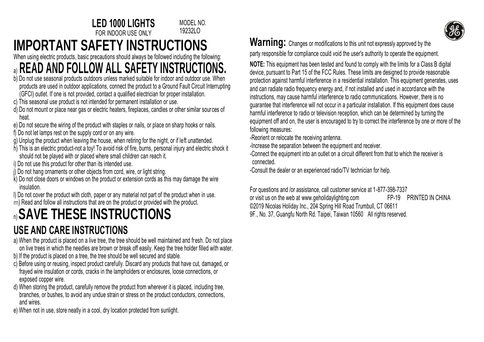MODEL NO. 19232LO



## **IMPORTANT SAFETY INSTRUCTIONS**

When using electric products, basic precautions should always be followed including the following:

### a) **READ AND FOLLOW ALL SAFETY INSTRUCTIONS.**

**LED 1000 LIGHTS** FOR INDOOR USE ONLY

- b) Do not use seasonal products outdoors unless marked suitable for indoor and outdoor use. When products are used in outdoor applications, connect the product to a Ground Fault Circuit Interrupting (GFCI) outlet. If one is not provided, contact a qualified electrician for proper installation.
- c) This seasonal use product is not intended for permanent installation or use.
- d) Do not mount or place near gas or electric heaters, fireplaces, candles or other similar sources of heat.
- e) Do not secure the wiring of the product with staples or nails, or place on sharp hooks or nails.
- f) Do not let lamps rest on the supply cord or on any wire.
- g) Unplug the product when leaving the house, when retiring for the night, or if left unattended.
- h) This is an electric product-not a toy! To avoid risk of fire, burns, personal injury and electric shock it should not be played with or placed where small children can reach it.
- i) Do not use this product for other than its intended use.
- j) Do not hang ornaments or other objects from cord, wire, or light string.
- k) Do not close doors or windows on the product or extension cords as this may damage the wire insulation.
- l) Do not cover the product with cloth, paper or any material not part of the product when in use.
- m) Read and follow all instructions that are on the product or provided with the product.

# n) **SAVE THESE INSTRUCTIONS**

#### **USE AND CARE INSTRUCTIONS**

- a) When the product is placed on a live tree, the tree should be well maintained and fresh. Do not place on live trees in which the needles are brown or break off easily. Keep the tree holder filled with water.
- b) If the product is placed on a tree, the tree should be well secured and stable.
- c) Before using or reusing, inspect product carefully. Discard any products that have cut, damaged, or frayed wire insulation or cords, cracks in the lampholders or enclosures, loose connections, or exposed copper wire.
- d) When storing the product, carefully remove the product from wherever it is placed, including tree, branches, or bushes, to avoid any undue strain or stress on the product conductors, connections, and wires.
- e) When not in use, store neatly in a cool, dry location protected from sunlight.

Warning: Changes or modifications to this unit not expressly approved by the party responsible for compliance could void the user's authority to operate the equipment.

**NOTE:** This equipment has been tested and found to comply with the limits for a Class B digital device, pursuant to Part 15 of the FCC Rules. These limits are designed to provide reasonable protection against harmful interference in a residential installation. This equipment generates, uses and can radiate radio frequency energy and, if not installed and used in accordance with the instructions, may cause harmful interference to radio communications. However, there is no guarantee that interference will not occur in a particular installation. If this equipment does cause harmful interference to radio or television reception, which can be determined by turning the equipment off and on, the user is encouraged to try to correct the interference by one or more of the following measures:

-Reorient or relocate the receiving antenna.

-Increase the separation between the equipment and receiver.

-Connect the equipment into an outlet on a circuit different from that to which the receiver is connected.

-Consult the dealer or an experienced radio/TV technician for help.

For questions and /or assistance, call customer service at 1-877-398-7337 or visit us on the web a[t www.geholidaylighting.com](http://www.geholidaylighting.com/) FP-19 PRINTED IN CHINA © 2019 Nicolas Holiday Inc., 204 Spring Hill Road Trumbull, CT 06611 9F., No. 37, Guangfu North Rd. Taipei, Taiwan 10560 All rights reserved.